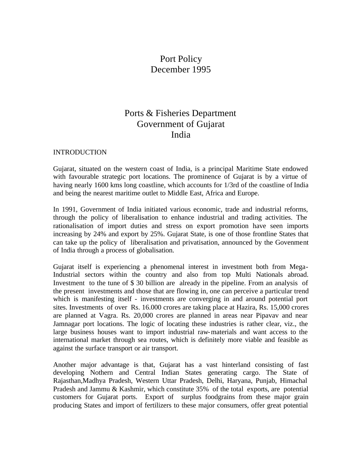# Port Policy December 1995

# Ports & Fisheries Department Government of Gujarat India

#### **INTRODUCTION**

Gujarat, situated on the western coast of India, is a principal Maritime State endowed with favourable strategic port locations. The prominence of Gujarat is by a virtue of having nearly 1600 kms long coastline, which accounts for 1/3rd of the coastline of India and being the nearest maritime outlet to Middle East, Africa and Europe.

In 1991, Government of India initiated various economic, trade and industrial reforms, through the policy of liberalisation to enhance industrial and trading activities. The rationalisation of import duties and stress on export promotion have seen imports increasing by 24% and export by 25%. Gujarat State, is one of those frontline States that can take up the policy of liberalisation and privatisation, announced by the Govenment of India through a process of globalisation.

Gujarat itself is experiencing a phenomenal interest in investment both from Mega-Industrial sectors within the country and also from top Multi Nationals abroad. Investment to the tune of \$ 30 billion are already in the pipeline. From an analysis of the present investments and those that are flowing in, one can perceive a particular trend which is manifesting itself - investments are converging in and around potential port sites. Investments of over Rs. 16.000 crores are taking place at Hazira, Rs. 15,000 crores are planned at Vagra. Rs. 20,000 crores are planned in areas near Pipavav and near Jamnagar port locations. The logic of locating these industries is rather clear, viz., the large business houses want to import industrial raw-materials and want access to the international market through sea routes, which is definitely more viable and feasible as against the surface transport or air transport.

Another major advantage is that, Gujarat has a vast hinterland consisting of fast developing Nothern and Central Indian States generating cargo. The State of Rajasthan,Madhya Pradesh, Western Uttar Pradesh, Delhi, Haryana, Punjab, Himachal Pradesh and Jammu & Kashmir, which constitute 35% of the total exports, are potential customers for Gujarat ports. Export of surplus foodgrains from these major grain producing States and import of fertilizers to these major consumers, offer great potential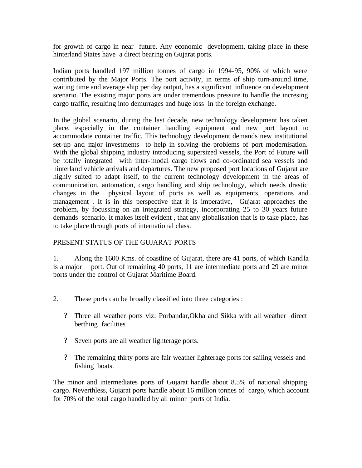for growth of cargo in near future. Any economic development, taking place in these hinterland States have a direct bearing on Gujarat ports.

Indian ports handled 197 million tonnes of cargo in 1994-95, 90% of which were contributed by the Major Ports. The port activity, in terms of ship turn-around time, waiting time and average ship per day output, has a significant influence on development scenario. The existing major ports are under tremendous pressure to handle the incresing cargo traffic, resulting into demurrages and huge loss in the foreign exchange.

In the global scenario, during the last decade, new technology development has taken place, especially in the container handling equipment and new port layout to accommodate container traffic. This technology development demands new institutional set-up and major investments to help in solving the problems of port modernisation. With the global shipping industry introducing supersized vessels, the Port of Future will be totally integrated with inter-modal cargo flows and co-ordinated sea vessels and hinterland vehicle arrivals and departures. The new proposed port locations of Gujarat are highly suited to adapt itself, to the current technology development in the areas of communication, automation, cargo handling and ship technology, which needs drastic changes in the physical layout of ports as well as equipments, operations and management . It is in this perspective that it is imperative, Gujarat approaches the problem, by focussing on an integrated strategy, incorporating 25 to 30 years future demands scenario. It makes itself evident , that any globalisation that is to take place, has to take place through ports of international class.

# PRESENT STATUS OF THE GUJARAT PORTS

1. Along the 1600 Kms. of coastline of Gujarat, there are 41 ports, of which Kandla is a major port. Out of remaining 40 ports, 11 are intermediate ports and 29 are minor ports under the control of Gujarat Maritime Board.

- 2. These ports can be broadly classified into three categories :
	- ? Three all weather ports viz: Porbandar,Okha and Sikka with all weather direct berthing facilities
	- ? Seven ports are all weather lighterage ports.
	- ? The remaining thirty ports are fair weather lighterage ports for sailing vessels and fishing boats.

The minor and intermediates ports of Gujarat handle about 8.5% of national shipping cargo. Neverthless, Gujarat ports handle about 16 million tonnes of cargo, which account for 70% of the total cargo handled by all minor ports of India.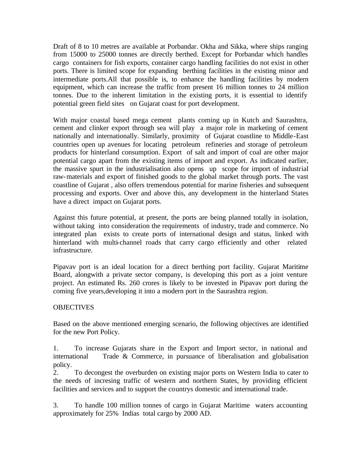Draft of 8 to 10 metres are available at Porbandar. Okha and Sikka, where ships ranging from 15000 to 25000 tonnes are directly berthed. Except for Porbandar which handles cargo containers for fish exports, container cargo handling facilities do not exist in other ports. There is limited scope for expanding berthing facilities in the existing minor and intermediate ports.All that possible is, to enhance the handling facilities by modern equipment, which can increase the traffic from present 16 million tonnes to 24 million tonnes. Due to the inherent limitation in the existing ports, it is essential to identify potential green field sites on Gujarat coast for port development.

With major coastal based mega cement plants coming up in Kutch and Saurashtra, cement and clinker export through sea will play a major role in marketing of cement nationally and internationally. Similarly, proximity of Gujarat coastline to Middle-East countries open up avenues for locating petroleum refineries and storage of petroleum products for hinterland consumption. Export of salt and import of coal are other major potential cargo apart from the existing items of import and export. As indicated earlier, the massive spurt in the industrialisation also opens up scope for import of industrial raw-materials and export of finished goods to the global market through ports. The vast coastline of Gujarat , also offers tremendous potential for marine fisheries and subsequent processing and exports. Over and above this, any development in the hinterland States have a direct impact on Gujarat ports.

Against this future potential, at present, the ports are being planned totally in isolation, without taking into consideration the requirements of industry, trade and commerce. No integrated plan exists to create ports of international design and status, linked with hinterland with multi-channel roads that carry cargo efficiently and other related infrastructure.

Pipavav port is an ideal location for a direct berthing port facility. Gujarat Maritime Board, alongwith a private sector company, is developing this port as a joint venture project. An estimated Rs. 260 crores is likely to be invested in Pipavav port during the coming five years,developing it into a modern port in the Saurashtra region.

## OBJECTIVES

Based on the above mentioned emerging scenario, the following objectives are identified for the new Port Policy.

1. To increase Gujarats share in the Export and Import sector, in national and international Trade & Commerce, in pursuance of liberalisation and globalisation policy.

2. To decongest the overburden on existing major ports on Western India to cater to the needs of incresing traffic of western and northern States, by providing efficient facilities and services and to support the countrys domestic and international trade.

3. To handle 100 million tonnes of cargo in Gujarat Maritime waters accounting approximately for 25% Indias total cargo by 2000 AD.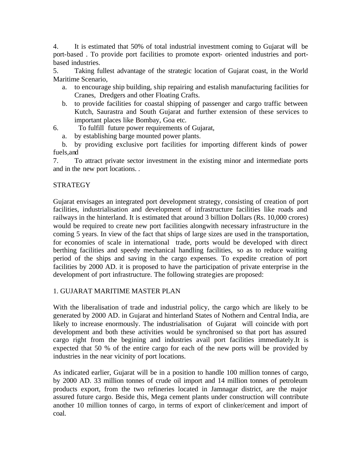4. It is estimated that 50% of total industrial investment coming to Gujarat will be port-based . To provide port facilities to promote export- oriented industries and portbased industries.

5. Taking fullest advantage of the strategic location of Gujarat coast, in the World Maritime Scenario,

- a. to encourage ship building, ship repairing and estalish manufacturing facilities for Cranes, Dredgers and other Floating Crafts.
- b. to provide facilities for coastal shipping of passenger and cargo traffic between Kutch, Saurastra and South Gujarat and further extension of these services to important places like Bombay, Goa etc.
- 6. To fulfill future power requirements of Gujarat,

a. by establishing barge mounted power plants.

 b. by providing exclusive port facilities for importing different kinds of power fuels,and

7. To attract private sector investment in the existing minor and intermediate ports and in the new port locations. .

# **STRATEGY**

Gujarat envisages an integrated port development strategy, consisting of creation of port facilities, industrialisation and development of infrastructure facilities like roads and railways in the hinterland. It is estimated that around 3 billion Dollars (Rs. 10,000 crores) would be required to create new port facilities alongwith necessary infrastructure in the coming 5 years. In view of the fact that ships of large sizes are used in the transportation, for economies of scale in international trade, ports would be developed with direct berthing facilities and speedy mechanical handling facilities, so as to reduce waiting period of the ships and saving in the cargo expenses. To expedite creation of port facilities by 2000 AD. it is proposed to have the participation of private enterprise in the development of port infrastructure. The following strategies are proposed:

# 1. GUJARAT MARITIME MASTER PLAN

With the liberalisation of trade and industrial policy, the cargo which are likely to be generated by 2000 AD. in Gujarat and hinterland States of Nothern and Central India, are likely to increase enormously. The industrialisation of Gujarat will coincide with port development and both these activities would be synchronised so that port has assured cargo right from the begining and industries avail port facilities immediately.It is expected that 50 % of the entire cargo for each of the new ports will be provided by industries in the near vicinity of port locations.

As indicated earlier, Gujarat will be in a position to handle 100 million tonnes of cargo, by 2000 AD. 33 million tonnes of crude oil import and 14 million tonnes of petroleum products export, from the two refineries located in Jamnagar district, are the major assured future cargo. Beside this, Mega cement plants under construction will contribute another 10 million tonnes of cargo, in terms of export of clinker/cement and import of coal.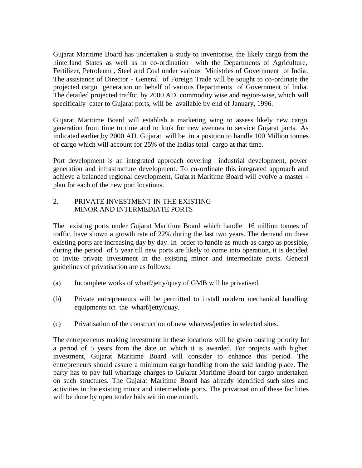Gujarat Maritime Board has undertaken a study to inventorise, the likely cargo from the hinterland States as well as in co-ordination with the Departments of Agriculture, Fertilizer, Petroleum , Steel and Coal under various Ministries of Government of India. The assistance of Director - General of Foreign Trade will be sought to co-ordinate the projected cargo generation on behalf of various Departments of Government of India. The detailed projected traffic. by 2000 AD. commodity wise and region-wise, which will specifically cater to Gujarat ports, will be available by end of January, 1996.

Gujarat Maritime Board will establish a marketing wing to assess likely new cargo generation from time to time and to look for new avenues to service Gujarat ports. As indicated earlier,by 2000 AD. Gujarat will be in a position to handle 100 Million tonnes of cargo which will account for 25% of the Indias total cargo at that time.

Port development is an integrated approach covering industrial development, power generation and infrastructure development. To co-ordinate this integrated approach and achieve a balanced regional development, Gujarat Maritime Board will evolve a master plan for each of the new port locations.

# 2. PRIVATE INVESTMENT IN THE EXISTING MINOR AND INTERMEDIATE PORTS

The existing ports under Gujarat Maritime Board which handle 16 million tonnes of traffic, have shown a growth rate of 22% during the last two years. The demand on these existing ports are increasing day by day. In order to handle as much as cargo as possible, during the period of 5 year till new ports are likely to come into operation, it is decided to invite private investment in the existing minor and intermediate ports. General guidelines of privatisation are as follows:

- (a) Incomplete works of wharf/jetty/quay of GMB will be privatised.
- (b) Private entrepreneurs will be permitted to install modern mechanical handling equipments on the wharf/jetty/quay.
- (c) Privatisation of the construction of new wharves/jetties in selected sites.

The entrepreneurs making investment in these locations will be given ousting priority for a period of 5 years from the date on which it is awarded. For projects with higher investment, Gujarat Maritime Board will consider to enhance this period. The entrepreneurs should assure a minimum cargo handling from the said landing place. The party has to pay full wharfage charges to Gujarat Maritime Board for cargo undertaken on such structures. The Gujarat Maritime Board has already identified such sites and activities in the existing minor and intermediate ports. The privatisation of these facilities will be done by open tender bids within one month.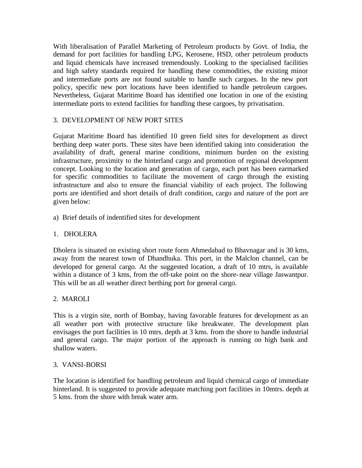With liberalisation of Parallel Marketing of Petroleum products by Govt. of India, the demand for port facilities for handling LPG, Kerosene, HSD, other petroleum products and liquid chemicals have increased tremendously. Looking to the specialised facilities and high safety standards required for handling these commodities, the existing minor and intermediate ports are not found suitable to handle such cargoes. In the new port policy, specific new port locations have been identified to handle petroleum cargoes. Nevertheless, Gujarat Maritime Board has identified one location in one of the existing intermediate ports to extend facilities for handling these cargoes, by privatisation.

# 3. DEVELOPMENT OF NEW PORT SITES

Gujarat Maritime Board has identified 10 green field sites for development as direct berthing deep water ports. These sites have been identified taking into consideration the availability of draft, general marine conditions, minimum burden on the existing infrastructure, proximity to the hinterland cargo and promotion of regional development concept. Looking to the location and generation of cargo, each port has been earmarked for specific commodities to facilitate the movement of cargo through the existing infrastructure and also to ensure the financial viability of each project. The following ports are identified and short details of draft condition, cargo and nature of the port are given below:

a) Brief details of indentified sites for development

# 1. DHOLERA

Dholera is situated on existing short route form Ahmedabad to Bhavnagar and is 30 kms, away from the nearest town of Dhandhuka. This port, in the Malclon channel, can be developed for general cargo. At the suggested location, a draft of 10 mtrs, is available within a distance of 3 kms, from the off-take point on the shore-near village Jaswantpur. This will be an all weather direct berthing port for general cargo.

## 2. MAROLI

This is a virgin site, north of Bombay, having favorable features for development as an all weather port with protective structure like breakwater. The development plan envisages the port facilities in 10 mtrs. depth at 3 kms. from the shore to handle industrial and general cargo. The major portion of the approach is running on high bank and shallow waters.

## 3. VANSI-BORSI

The location is identified for handling petroleum and liquid chemical cargo of immediate hinterland. It is suggested to provide adequate matching port facilities in 10mtrs. depth at 5 kms. from the shore with break water arm.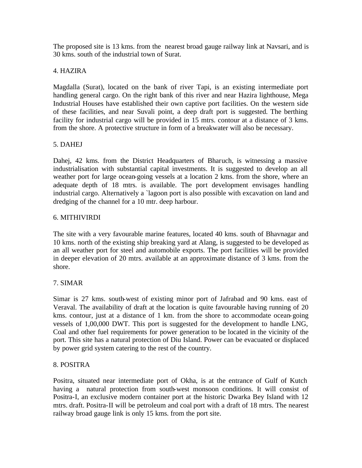The proposed site is 13 kms. from the nearest broad gauge railway link at Navsari, and is 30 kms. south of the industrial town of Surat.

## 4. HAZIRA

Magdalla (Surat), located on the bank of river Tapi, is an existing intermediate port handling general cargo. On the right bank of this river and near Hazira lighthouse, Mega Industrial Houses have established their own captive port facilities. On the western side of these facilities, and near Suvali point, a deep draft port is suggested. The berthing facility for industrial cargo will be provided in 15 mtrs. contour at a distance of 3 kms. from the shore. A protective structure in form of a breakwater will also be necessary.

# 5. DAHEJ

Dahej, 42 kms. from the District Headquarters of Bharuch, is witnessing a massive industrialisation with substantial capital investments. It is suggested to develop an all weather port for large ocean-going vessels at a location 2 kms. from the shore, where an adequate depth of 18 mtrs. is available. The port development envisages handling industrial cargo. Alternatively a `lagoon port is also possible with excavation on land and dredging of the channel for a 10 mtr. deep harbour.

# 6. MITHIVIRDI

The site with a very favourable marine features, located 40 kms. south of Bhavnagar and 10 kms. north of the existing ship breaking yard at Alang, is suggested to be developed as an all weather port for steel and automobile exports. The port facilities will be provided in deeper elevation of 20 mtrs. available at an approximate distance of 3 kms. from the shore.

# 7. SIMAR

Simar is 27 kms. south-west of existing minor port of Jafrabad and 90 kms. east of Veraval. The availability of draft at the location is quite favourable having running of 20 kms. contour, just at a distance of 1 km. from the shore to accommodate ocean-going vessels of 1,00,000 DWT. This port is suggested for the development to handle LNG, Coal and other fuel requirements for power generation to be located in the vicinity of the port. This site has a natural protection of Diu Island. Power can be evacuated or displaced by power grid system catering to the rest of the country.

## 8. POSITRA

Positra, situated near intermediate port of Okha, is at the entrance of Gulf of Kutch having a natural protection from south-west monsoon conditions. It will consist of Positra-I, an exclusive modern container port at the historic Dwarka Bey Island with 12 mtrs. draft. Positra-II will be petroleum and coal port with a draft of 18 mtrs. The nearest railway broad gauge link is only 15 kms. from the port site.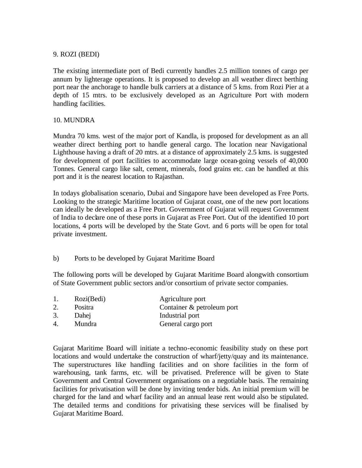#### 9. ROZI (BEDI)

The existing intermediate port of Bedi currently handles 2.5 million tonnes of cargo per annum by lighterage operations. It is proposed to develop an all weather direct berthing port near the anchorage to handle bulk carriers at a distance of 5 kms. from Rozi Pier at a depth of 15 mtrs. to be exclusively developed as an Agriculture Port with modern handling facilities.

## 10. MUNDRA

Mundra 70 kms. west of the major port of Kandla, is proposed for development as an all weather direct berthing port to handle general cargo. The location near Navigational Lighthouse having a draft of 20 mtrs. at a distance of approximately 2.5 kms. is suggested for development of port facilities to accommodate large ocean-going vessels of 40,000 Tonnes. General cargo like salt, cement, minerals, food grains etc. can be handled at this port and it is the nearest location to Rajasthan.

In todays globalisation scenario, Dubai and Singapore have been developed as Free Ports. Looking to the strategic Maritime location of Gujarat coast, one of the new port locations can ideally be developed as a Free Port. Government of Gujarat will request Government of India to declare one of these ports in Gujarat as Free Port. Out of the identified 10 port locations, 4 ports will be developed by the State Govt. and 6 ports will be open for total private investment.

## b) Ports to be developed by Gujarat Maritime Board

The following ports will be developed by Gujarat Maritime Board alongwith consortium of State Government public sectors and/or consortium of private sector companies.

|    | Rozi(Bedi) | Agriculture port           |
|----|------------|----------------------------|
| Ζ. | Positra    | Container & petroleum port |

- 3. Dahej Industrial port
- 4. Mundra General cargo port

Gujarat Maritime Board will initiate a techno-economic feasibility study on these port locations and would undertake the construction of wharf/jetty/quay and its maintenance. The superstructures like handling facilities and on shore facilities in the form of warehousing, tank farms, etc. will be privatised. Preference will be given to State Government and Central Government organisations on a negotiable basis. The remaining facilities for privatisation will be done by inviting tender bids. An initial premium will be charged for the land and wharf facility and an annual lease rent would also be stipulated. The detailed terms and conditions for privatising these services will be finalised by Gujarat Maritime Board.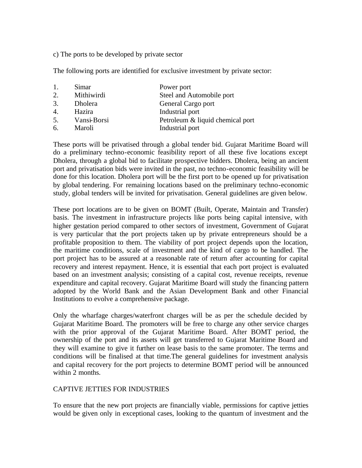c) The ports to be developed by private sector

The following ports are identified for exclusive investment by private sector:

| 1.               | Simar       | Power port                       |
|------------------|-------------|----------------------------------|
| 2.               | Mithiwirdi  | Steel and Automobile port        |
| 3.               | Dholera     | General Cargo port               |
| $\overline{4}$ . | Hazira      | Industrial port                  |
| 5.               | Vansi-Borsi | Petroleum & liquid chemical port |
| 6.               | Maroli      | Industrial port                  |
|                  |             |                                  |

These ports will be privatised through a global tender bid. Gujarat Maritime Board will do a preliminary techno-economic feasibility report of all these five locations except Dholera, through a global bid to facilitate prospective bidders. Dholera, being an ancient port and privatisation bids were invited in the past, no techno-economic feasibility will be done for this location. Dholera port will be the first port to be opened up for privatisation by global tendering. For remaining locations based on the preliminary techno-economic study, global tenders will be invited for privatisation. General guidelines are given below.

These port locations are to be given on BOMT (Built, Operate, Maintain and Transfer) basis. The investment in infrastructure projects like ports being capital intensive, with higher gestation period compared to other sectors of investment, Government of Gujarat is very particular that the port projects taken up by private entrepreneurs should be a profitable proposition to them. The viability of port project depends upon the location, the maritime conditions, scale of investment and the kind of cargo to be handled. The port project has to be assured at a reasonable rate of return after accounting for capital recovery and interest repayment. Hence, it is essential that each port project is evaluated based on an investment analysis; consisting of a capital cost, revenue receipts, revenue expenditure and capital recovery. Gujarat Maritime Board will study the financing pattern adopted by the World Bank and the Asian Development Bank and other Financial Institutions to evolve a comprehensive package.

Only the wharfage charges/waterfront charges will be as per the schedule decided by Gujarat Maritime Board. The promoters will be free to charge any other service charges with the prior approval of the Gujarat Maritime Board. After BOMT period, the ownership of the port and its assets will get transferred to Gujarat Maritime Board and they will examine to give it further on lease basis to the same promoter. The terms and conditions will be finalised at that time.The general guidelines for investment analysis and capital recovery for the port projects to determine BOMT period will be announced within 2 months.

## CAPTIVE JETTIES FOR INDUSTRIES

To ensure that the new port projects are financially viable, permissions for captive jetties would be given only in exceptional cases, looking to the quantum of investment and the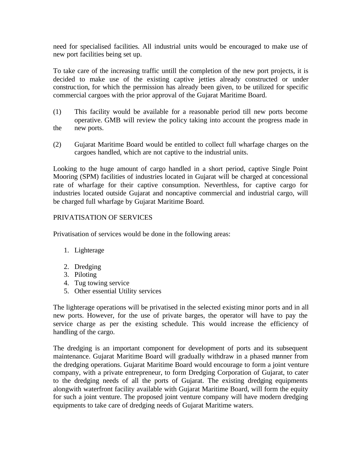need for specialised facilities. All industrial units would be encouraged to make use of new port facilities being set up.

To take care of the increasing traffic untill the completion of the new port projects, it is decided to make use of the existing captive jetties already constructed or under construction, for which the permission has already been given, to be utilized for specific commercial cargoes with the prior approval of the Gujarat Maritime Board.

- (1) This facility would be available for a reasonable period till new ports become operative. GMB will review the policy taking into account the progress made in the new ports.
- (2) Gujarat Maritime Board would be entitled to collect full wharfage charges on the cargoes handled, which are not captive to the industrial units.

Looking to the huge amount of cargo handled in a short period, captive Single Point Mooring (SPM) facilities of industries located in Gujarat will be charged at concessional rate of wharfage for their captive consumption. Neverthless, for captive cargo for industries located outside Gujarat and noncaptive commercial and industrial cargo, will be charged full wharfage by Gujarat Maritime Board.

# PRIVATISATION OF SERVICES

Privatisation of services would be done in the following areas:

- 1. Lighterage
- 2. Dredging
- 3. Piloting
- 4. Tug towing service
- 5. Other essential Utility services

The lighterage operations will be privatised in the selected existing minor ports and in all new ports. However, for the use of private barges, the operator will have to pay the service charge as per the existing schedule. This would increase the efficiency of handling of the cargo.

The dredging is an important component for development of ports and its subsequent maintenance. Gujarat Maritime Board will gradually withdraw in a phased manner from the dredging operations. Gujarat Maritime Board would encourage to form a joint venture company, with a private entrepreneur, to form Dredging Corporation of Gujarat, to cater to the dredging needs of all the ports of Gujarat. The existing dredging equipments alongwith waterfront facility available with Gujarat Maritime Board, will form the equity for such a joint venture. The proposed joint venture company will have modern dredging equipments to take care of dredging needs of Gujarat Maritime waters.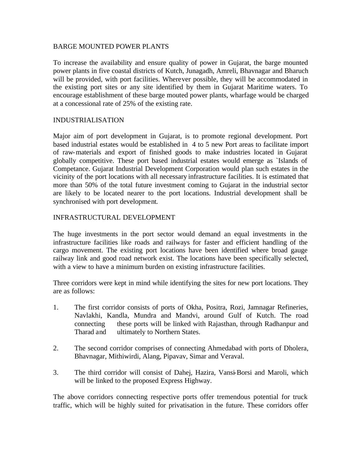#### BARGE MOUNTED POWER PLANTS

To increase the availability and ensure quality of power in Gujarat, the barge mounted power plants in five coastal districts of Kutch, Junagadh, Amreli, Bhavnagar and Bharuch will be provided, with port facilities. Wherever possible, they will be accommodated in the existing port sites or any site identified by them in Gujarat Maritime waters. To encourage establishment of these barge mouted power plants, wharfage would be charged at a concessional rate of 25% of the existing rate.

## INDUSTRIALISATION

Major aim of port development in Gujarat, is to promote regional development. Port based industrial estates would be established in 4 to 5 new Port areas to facilitate import of raw-materials and export of finished goods to make industries located in Gujarat globally competitive. These port based industrial estates would emerge as `Islands of Competance. Gujarat Industrial Development Corporation would plan such estates in the vicinity of the port locations with all necessary infrastructure facilities. It is estimated that more than 50% of the total future investment coming to Gujarat in the industrial sector are likely to be located nearer to the port locations. Industrial development shall be synchronised with port development.

## INFRASTRUCTURAL DEVELOPMENT

The huge investments in the port sector would demand an equal investments in the infrastructure facilities like roads and railways for faster and efficient handling of the cargo movement. The existing port locations have been identified where broad gauge railway link and good road network exist. The locations have been specifically selected, with a view to have a minimum burden on existing infrastructure facilities.

Three corridors were kept in mind while identifying the sites for new port locations. They are as follows:

- 1. The first corridor consists of ports of Okha, Positra, Rozi, Jamnagar Refineries, Navlakhi, Kandla, Mundra and Mandvi, around Gulf of Kutch. The road connecting these ports will be linked with Rajasthan, through Radhanpur and Tharad and ultimately to Northern States.
- 2. The second corridor comprises of connecting Ahmedabad with ports of Dholera, Bhavnagar, Mithiwirdi, Alang, Pipavav, Simar and Veraval.
- 3. The third corridor will consist of Dahej, Hazira, Vansi-Borsi and Maroli, which will be linked to the proposed Express Highway.

The above corridors connecting respective ports offer tremendous potential for truck traffic, which will be highly suited for privatisation in the future. These corridors offer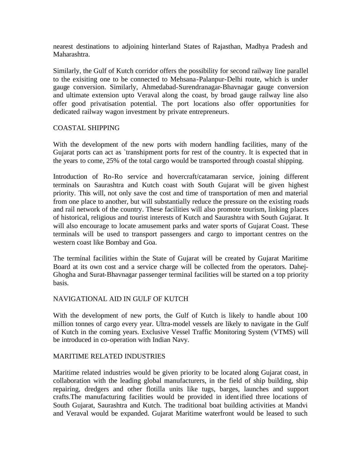nearest destinations to adjoining hinterland States of Rajasthan, Madhya Pradesh and Maharashtra.

Similarly, the Gulf of Kutch corridor offers the possibility for second railway line parallel to the exisiting one to be connected to Mehsana-Palanpur-Delhi route, which is under gauge conversion. Similarly, Ahmedabad-Surendranagar-Bhavnagar gauge conversion and ultimate extension upto Veraval along the coast, by broad gauge railway line also offer good privatisation potential. The port locations also offer opportunities for dedicated railway wagon investment by private entrepreneurs.

## COASTAL SHIPPING

With the development of the new ports with modern handling facilities, many of the Gujarat ports can act as `transhipment ports for rest of the country. It is expected that in the years to come, 25% of the total cargo would be transported through coastal shipping.

Introduction of Ro-Ro service and hovercraft/catamaran service, joining different terminals on Saurashtra and Kutch coast with South Gujarat will be given highest priority. This will, not only save the cost and time of transportation of men and material from one place to another, but will substantially reduce the pressure on the existing roads and rail network of the country. These facilities will also promote tourism, linking places of historical, religious and tourist interests of Kutch and Saurashtra with South Gujarat. It will also encourage to locate amusement parks and water sports of Gujarat Coast. These terminals will be used to transport passengers and cargo to important centres on the western coast like Bombay and Goa.

The terminal facilities within the State of Gujarat will be created by Gujarat Maritime Board at its own cost and a service charge will be collected from the operators. Dahej-Ghogha and Surat-Bhavnagar passenger terminal facilities will be started on a top priority basis.

# NAVIGATIONAL AID IN GULF OF KUTCH

With the development of new ports, the Gulf of Kutch is likely to handle about 100 million tonnes of cargo every year. Ultra-model vessels are likely to navigate in the Gulf of Kutch in the coming years. Exclusive Vessel Traffic Monitoring System (VTMS) will be introduced in co-operation with Indian Navy.

## MARITIME RELATED INDUSTRIES

Maritime related industries would be given priority to be located along Gujarat coast, in collaboration with the leading global manufacturers, in the field of ship building, ship repairing, dredgers and other flotilla units like tugs, barges, launches and support crafts.The manufacturing facilities would be provided in identified three locations of South Gujarat, Saurashtra and Kutch. The traditional boat building activities at Mandvi and Veraval would be expanded. Gujarat Maritime waterfront would be leased to such